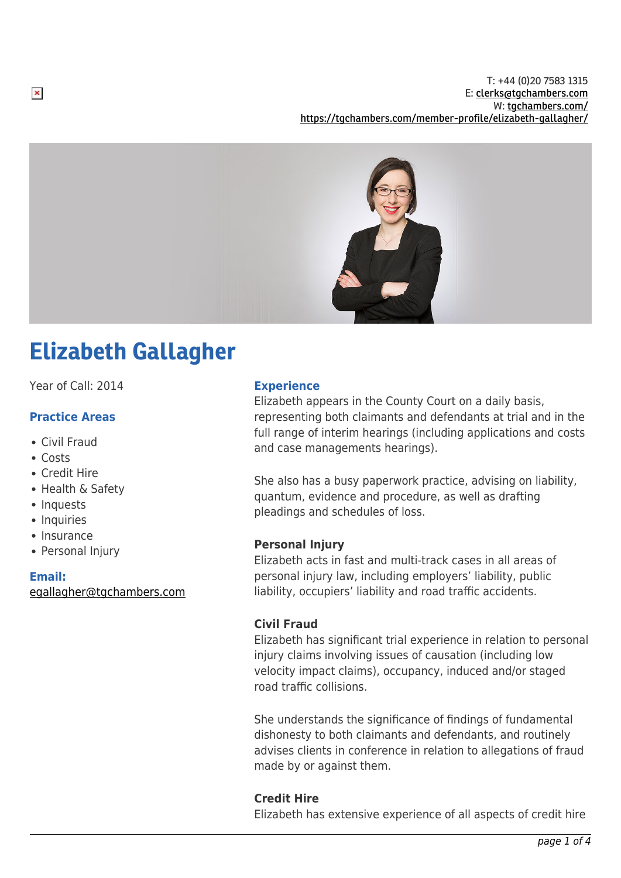

# Elizabeth Gallagher

Year of Call: 2014

## **Practice Areas**

- Civil Fraud
- Costs
- Credit Hire
- Health & Safety
- Inquests
- Inquiries
- Insurance
- Personal Injury

#### **Email:**

[egallagher@tgchambers.com](mailto:egallagher@tgchambers.com)

#### **Experience**

Elizabeth appears in the County Court on a daily basis, representing both claimants and defendants at trial and in the full range of interim hearings (including applications and costs and case managements hearings).

She also has a busy paperwork practice, advising on liability, quantum, evidence and procedure, as well as drafting pleadings and schedules of loss.

## **Personal Injury**

Elizabeth acts in fast and multi-track cases in all areas of personal injury law, including employers' liability, public liability, occupiers' liability and road traffic accidents.

## **Civil Fraud**

Elizabeth has significant trial experience in relation to personal injury claims involving issues of causation (including low velocity impact claims), occupancy, induced and/or staged road traffic collisions.

She understands the significance of findings of fundamental dishonesty to both claimants and defendants, and routinely advises clients in conference in relation to allegations of fraud made by or against them.

## **Credit Hire**

Elizabeth has extensive experience of all aspects of credit hire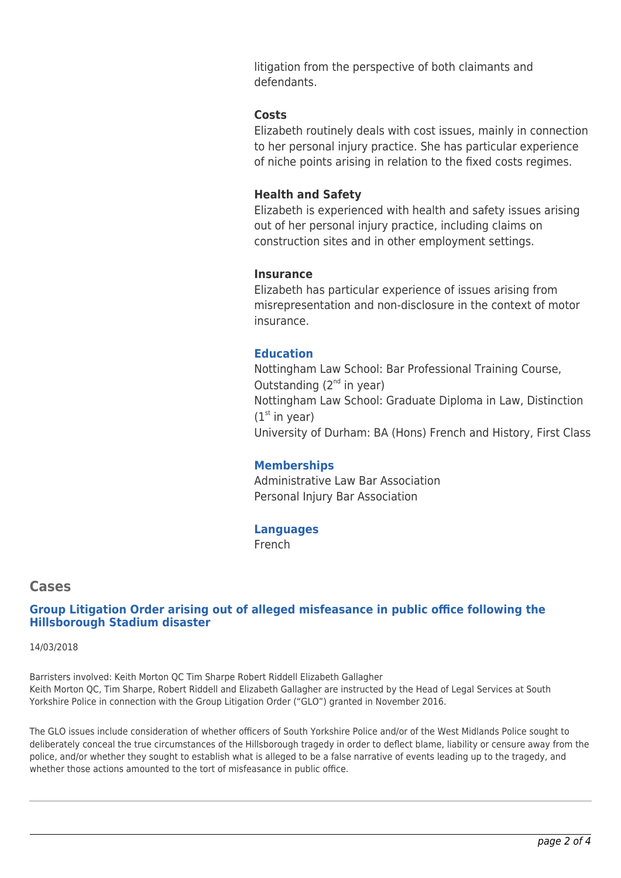litigation from the perspective of both claimants and defendants.

#### **Costs**

Elizabeth routinely deals with cost issues, mainly in connection to her personal injury practice. She has particular experience of niche points arising in relation to the fixed costs regimes.

## **Health and Safety**

Elizabeth is experienced with health and safety issues arising out of her personal injury practice, including claims on construction sites and in other employment settings.

#### **Insurance**

Elizabeth has particular experience of issues arising from misrepresentation and non-disclosure in the context of motor insurance.

## **Education**

Nottingham Law School: Bar Professional Training Course, Outstanding  $(2^{nd}$  in year) Nottingham Law School: Graduate Diploma in Law, Distinction  $(1<sup>st</sup>$  in year) University of Durham: BA (Hons) French and History, First Class

## **Memberships**

Administrative Law Bar Association Personal Injury Bar Association

#### **Languages**

French

## **Cases**

#### **Group Litigation Order arising out of alleged misfeasance in public office following the Hillsborough Stadium disaster**

14/03/2018

Barristers involved: Keith Morton QC Tim Sharpe Robert Riddell Elizabeth Gallagher Keith Morton QC, Tim Sharpe, Robert Riddell and Elizabeth Gallagher are instructed by the Head of Legal Services at South Yorkshire Police in connection with the Group Litigation Order ("GLO") granted in November 2016.

The GLO issues include consideration of whether officers of South Yorkshire Police and/or of the West Midlands Police sought to deliberately conceal the true circumstances of the Hillsborough tragedy in order to deflect blame, liability or censure away from the police, and/or whether they sought to establish what is alleged to be a false narrative of events leading up to the tragedy, and whether those actions amounted to the tort of misfeasance in public office.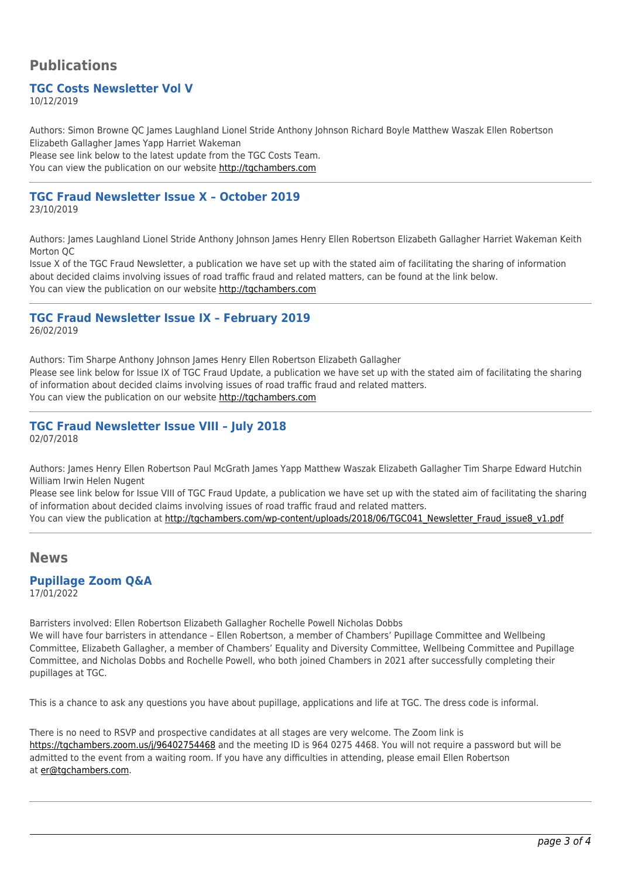# **Publications**

## **TGC Costs Newsletter Vol V**

10/12/2019

Authors: Simon Browne QC James Laughland Lionel Stride Anthony Johnson Richard Boyle Matthew Waszak Ellen Robertson Elizabeth Gallagher James Yapp Harriet Wakeman

Please see link below to the latest update from the TGC Costs Team. You can view the publication on our website [http://tgchambers.com](https://tgchambers.com/wp-content/uploads/2019/12/TGC055_Costs_Newsletter_Vol_V_v3.pdf)

#### **TGC Fraud Newsletter Issue X – October 2019**

23/10/2019

Authors: James Laughland Lionel Stride Anthony Johnson James Henry Ellen Robertson Elizabeth Gallagher Harriet Wakeman Keith Morton QC

Issue X of the TGC Fraud Newsletter, a publication we have set up with the stated aim of facilitating the sharing of information about decided claims involving issues of road traffic fraud and related matters, can be found at the link below. You can view the publication on our website [http://tgchambers.com](https://tgchambers.com/wp-content/uploads/2019/10/TGC056_Newsletter_Fraud_issue10_v3b.pdf)

#### **TGC Fraud Newsletter Issue IX – February 2019** 26/02/2019

Authors: Tim Sharpe Anthony Johnson James Henry Ellen Robertson Elizabeth Gallagher Please see link below for Issue IX of TGC Fraud Update, a publication we have set up with the stated aim of facilitating the sharing of information about decided claims involving issues of road traffic fraud and related matters. You can view the publication on our website [http://tgchambers.com](https://tgchambers.com/wp-content/uploads/2019/02/Newsletter_Fraud_issue9_v3.pdf)

**TGC Fraud Newsletter Issue VIII – July 2018** 02/07/2018

Authors: James Henry Ellen Robertson Paul McGrath James Yapp Matthew Waszak Elizabeth Gallagher Tim Sharpe Edward Hutchin William Irwin Helen Nugent

Please see link below for Issue VIII of TGC Fraud Update, a publication we have set up with the stated aim of facilitating the sharing of information about decided claims involving issues of road traffic fraud and related matters.

You can view the publication at [http://tgchambers.com/wp-content/uploads/2018/06/TGC041\\_Newsletter\\_Fraud\\_issue8\\_v1.pdf](http://tgchambers.com/wp-content/uploads/2018/06/TGC041_Newsletter_Fraud_issue8_v1.pdf)

## **News**

#### **Pupillage Zoom Q&A** 17/01/2022

Barristers involved: Ellen Robertson Elizabeth Gallagher Rochelle Powell Nicholas Dobbs We will have four barristers in attendance – Ellen Robertson, a member of Chambers' Pupillage Committee and Wellbeing Committee, Elizabeth Gallagher, a member of Chambers' Equality and Diversity Committee, Wellbeing Committee and Pupillage Committee, and Nicholas Dobbs and Rochelle Powell, who both joined Chambers in 2021 after successfully completing their pupillages at TGC.

This is a chance to ask any questions you have about pupillage, applications and life at TGC. The dress code is informal.

There is no need to RSVP and prospective candidates at all stages are very welcome. The Zoom link is <https://tgchambers.zoom.us/j/96402754468>and the meeting ID is 964 0275 4468. You will not require a password but will be admitted to the event from a waiting room. If you have any difficulties in attending, please email Ellen Robertson at [er@tgchambers.com.](mailto:er@tgchambers.com)